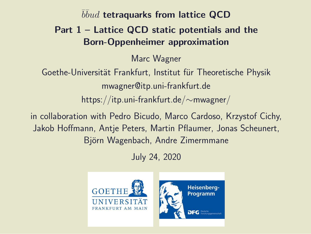#### $b\bar b u d$  tetraquarks from lattice QCD Part 1 – Lattice QCD static potentials and the Born-Oppenheimer approximation

Marc Wagner

Goethe-Universität Frankfurt, Institut für Theoretische Physik mwagner@itp.uni-frankfurt.de https://itp.uni-frankfurt.de/∼mwagner/

in collaboration with Pedro Bicudo, Marco Cardoso, Krzystof Cichy, Jakob Hoffmann, Antje Peters, Martin Pflaumer, Jonas Scheunert, Björn Wagenbach, Andre Zimermmane

July 24, 2020

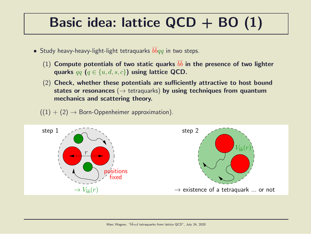### Basic idea: lattice  $QCD + BO(1)$

- $\bullet$  Study heavy-heavy-light-light tetraquarks  $\bar{b}\bar{b}qq$  in two steps.
	- (1) Compute potentials of two static quarks  $b\bar{b}$  in the presence of two lighter quarks  $qq$   $(q \in \{u, d, s, c\})$  using lattice QCD.
	- (2) Check, whether these potentials are sufficiently attractive to host bound states or resonances ( $\rightarrow$  tetraquarks) by using techniques from quantum mechanics and scattering theory.
	- $((1) + (2) \rightarrow$  Born-Oppenheimer approximation).

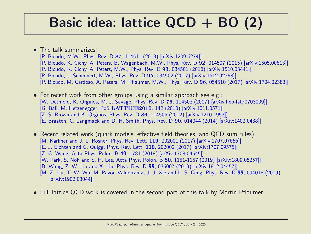#### Basic idea: lattice  $QCD + BO$  (2)

#### • The talk summarizes:

- [P. Bicudo, M.W., Phys. Rev. D 87, 114511 (2013) [arXiv:1209.6274]]
- [P. Bicudo, K. Cichy, A. Peters, B. Wagenbach, M.W., Phys. Rev. D 92, 014507 (2015) [arXiv:1505.00613]]
- [P. Bicudo, K. Cichy, A. Peters, M.W., Phys. Rev. D 93, 034501 (2016) [arXiv:1510.03441]]
- [P. Bicudo, J. Scheunert, M.W., Phys. Rev. D 95, 034502 (2017) [arXiv:1612.02758]]
- [P. Bicudo, M. Cardoso, A. Peters, M. Pflaumer, M.W., Phys. Rev. D 96, 054510 (2017) [arXiv:1704.02383]]
- For recent work from other groups using a similar approach see e.g.: [W. Detmold, K. Orginos, M. J. Savage, Phys. Rev. D 76, 114503 (2007) [arXiv:hep-lat/0703009]] [G. Bali, M. Hetzenegger, PoS LATTICE2010, 142 (2010) [arXiv:1011.0571]] [Z. S. Brown and K. Orginos, Phys. Rev. D 86, 114506 (2012) [arXiv:1210.1953]] [E. Braaten, C. Langmack and D. H. Smith, Phys. Rev. D 90, 014044 (2014) [arXiv:1402.0438]]
- Recent related work (quark models, effective field theories, and QCD sum rules): [M. Karliner and J. L. Rosner, Phys. Rev. Lett. 119, 202001 (2017) [arXiv:1707.07666]] [E. J. Eichten and C. Quigg, Phys. Rev. Lett. 119, 202002 (2017) [arXiv:1707.09575]] [Z. G. Wang, Acta Phys. Polon. B 49, 1781 (2018) [arXiv:1708.04545]] [W. Park, S. Noh and S. H. Lee, Acta Phys. Polon. B 50, 1151-1157 (2019) [arXiv:1809.05257]] [B. Wang, Z. W. Liu and X. Liu, Phys. Rev. D 99, 036007 (2019) [arXiv:1812.04457]] [M. Z. Liu, T. W. Wu, M. Pavon Valderrama, J. J. Xie and L. S. Geng, Phys. Rev. D 99, 094018 (2019) [arXiv:1902.03044]]
- Full lattice QCD work is covered in the second part of this talk by Martin Pflaumer.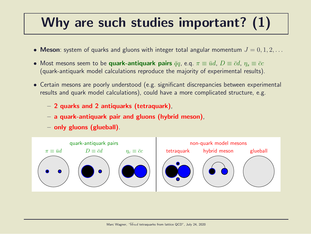### Why are such studies important? (1)

- Meson: system of quarks and gluons with integer total angular momentum  $J = 0, 1, 2, \ldots$
- Most mesons seem to be quark-antiquark pairs  $\bar{q}q$ , e.q.  $\pi \equiv \bar{u}d$ ,  $D \equiv \bar{c}d$ ,  $\eta_s \equiv \bar{c}c$ (quark-antiquark model calculations reproduce the majority of experimental results).
- Certain mesons are poorly understood (e.g. significant discrepancies between experimental results and quark model calculations), could have a more complicated structure, e.g.
	- 2 quarks and 2 antiquarks (tetraquark),
	- a quark-antiquark pair and gluons (hybrid meson),
	- only gluons (glueball).

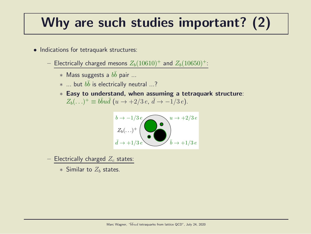### Why are such studies important? (2)

- Indications for tetraquark structures:
	- Electrically charged mesons  $Z_b(10610)^+$  and  $Z_b(10650)^+$ :
		- $*$  Mass suggests a  $b\bar{b}$  pair ...
		- $*$   $\dots$  but  $b\bar{b}$  is electrically neutral  $\dots$ ?
		- ∗ Easy to understand, when assuming a tetraquark structure:  $Z_b(\ldots)^+ \equiv b\bar{b}u\bar{d}$   $(u \to +2/3 e, \bar{d} \to -1/3 e).$



- Electrically charged  $Z_c$  states:
	- ∗ Similar to  $Z<sub>b</sub>$  states.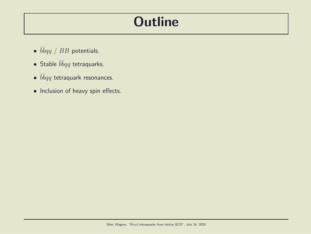#### **Outline**

- $\bullet$   $\bar{b}\bar{b}qq$  /  $BB$  potentials.
- Stable  $\bar{b} \bar{b} q q$  tetraquarks.
- $\bullet$   $\bar b\bar b qq$  tetraquark resonances.
- Inclusion of heavy spin effects.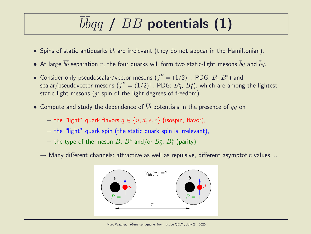# $\overline{b} \overline{b} q \overline{q}$  /  $BB$  potentials (1)

- $\bullet$  Spins of static antiquarks  $\bar b \bar b$  are irrelevant (they do not appear in the Hamiltonian).
- $\bullet\,$  At large  $\bar b \bar b$  separation  $r$ , the four quarks will form two static-light mesons  $\bar b q$  and  $\bar b q.$
- Consider only pseudoscalar/vector mesons  $(j^P = (1/2)^-$ , PDG:  $B$ ,  $B^*$ ) and scalar/pseudovector mesons  $(j^P = (1/2)^+,$  PDG:  $B^*_0$ ,  $B^*_1$ ), which are among the lightest static-light mesons ( $i$ : spin of the light degrees of freedom).
- $\bullet\,$  Compute and study the dependence of  $\bar b \bar b$  potentials in the presence of  $qq$  on
	- the "light" quark flavors  $q \in \{u, d, s, c\}$  (isospin, flavor),
	- the "light" quark spin (the static quark spin is irrelevant),
	- $-$  the type of the meson  $B$ ,  $B^*$  and/or  $B^*_0$ ,  $B^*_1$  (parity).
	- $\rightarrow$  Many different channels: attractive as well as repulsive, different asymptotic values ...

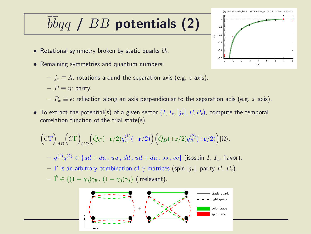# $\overline{b} \overline{b} q \overline{q}$  /  $BB$  potentials (2)

- $\bullet$  Rotational symmetry broken by static quarks  $\bar b \bar b.$
- Remaining symmetries and quantum numbers:
	- $j_z \equiv \Lambda$ : rotations around the separation axis (e.g. z axis).
	- $P \equiv \eta$ : parity.
	- $P_x$  ≡  $\epsilon$ : reflection along an axis perpendicular to the separation axis (e.g. x axis).
- To extract the potential(s) of a given sector  $(I, I_z, |j_z|, P, P_x)$ , compute the temporal correlation function of the trial state(s)

$$
\left(C\Gamma\right)_{AB}\left(C\tilde{\Gamma}\right)_{CD}\left(\bar{Q}_C(-\mathbf{r}/2)q_A^{(1)}(-\mathbf{r}/2)\right)\left(\bar{Q}_D(+\mathbf{r}/2)q_B^{(2)}(+\mathbf{r}/2)\right)|\Omega\rangle.
$$

- $− q^{(1)}q^{(2)} ∈ {ud du , uu, dd, ud + du, ss, cc}$  (isospin I, I<sub>z</sub>, flavor).
- Γ is an arbitrary combination of  $\gamma$  matrices (spin  $|j_z|$ , parity P,  $P_x$ ).
- $-\tilde{\Gamma} \in \{(1-\gamma_0)\gamma_5, (1-\gamma_0)\gamma_i\}$  (irrelevant).



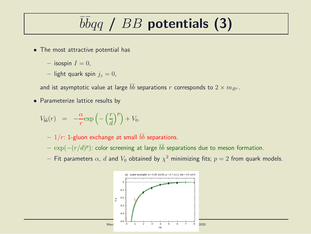# $\overline{b} \overline{b} q \overline{q}$  /  $BB$  potentials (3)

- The most attractive potential has
	- isospin  $I = 0$ ,
	- light quark spin  $j_z = 0$ ,

and ist asymptotic value at large  $\bar b \bar b$  separations  $r$  corresponds to  $2\times m_{B^*}.$ 

• Parameterize lattice results by

 $V_{\bar{b}\bar{b}}(r)$  =  $\alpha$ r  $\exp\left(-\left(\frac{r}{4}\right)$  $\boldsymbol{d}$  $\binom{p}{ } + V_0.$ 

 $1/r$ : 1-gluon exchange at small  $\bar{b}\bar{b}$  separations.

 $- \, \exp(-(r/d)^p)$ : color screening at large  $\bar{b} \bar{b}$  separations due to meson formation.

 $-$  Fit parameters  $\alpha$ ,  $d$  and  $V_0$  obtained by  $\chi^2$  minimizing fits;  $p=2$  from quark models.

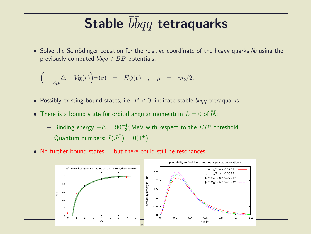## Stable  $\overline{b} \overline{b} q q$  tetraquarks

 $\bullet$  Solve the Schrödinger equation for the relative coordinate of the heavy quarks  $\bar b \bar b$  using the previously computed  $\bar b\bar b qq$  /  $BB$  potentials,

$$
\Big(-\frac{1}{2\mu}\triangle + V_{\overline{b}\overline{b}}(r)\Big)\psi(\mathbf{r}) = E\psi(\mathbf{r}) \quad , \quad \mu = m_b/2.
$$

- Possibly existing bound states, i.e.  $E < 0$ , indicate stable  $\overline{b} \overline{b} q q$  tetraquarks.
- $\bullet$  There is a bound state for orbital angular momentum  $L=0$  of  $\overline{b}\overline{b}$ :
	- $-$  Binding energy  $-E = 90^{+43}_{-36}$  MeV with respect to the  $BB^\ast$  threshold.
	- Quantum numbers:  $I(J^P) = 0(1^+).$
- No further bound states ... but there could still be resonances.

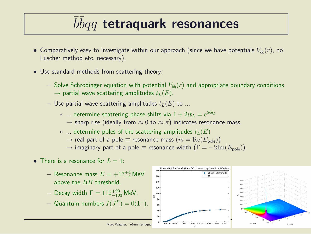## $\overline{b} \overline{b} q q$  tetraquark resonances

- $\bullet$  Comparatively easy to investigate within our approach (since we have potentials  $V_{\bar{b}\bar{b}}(r)$ , no Lüscher method etc. necessary).
- Use standard methods from scattering theory:
	- $-$  Solve Schrödinger equation with potential  $V_{\bar{b}\bar{b}}(r)$  and appropriate boundary conditions  $\rightarrow$  partial wave scattering amplitudes  $t_L(E)$ .
	- Use partial wave scattering amplitudes  $t_L(E)$  to ...
		- $*$   $\ldots$  determine scattering phase shifts via  $1+2it_L=e^{2i\delta_L}$ 
			- $\rightarrow$  sharp rise (ideally from  $\approx 0$  to  $\approx \pi$ ) indicates resonance mass.
		- $*$  ... determine poles of the scattering amplitudes  $t_L(E)$ 
			- $\rightarrow$  real part of a pole  $\equiv$  resonance mass  $(m = \text{Re}(E_{\text{pole}}))$
			- $\rightarrow$  imaginary part of a pole  $\equiv$  resonance width  $(\Gamma = -2\text{Im}(E_{\text{pole}})).$
- There is a resonance for  $L = 1$ .
	- $-$  Resonance mass  $E = +17^{+4}_{-4}$  MeV above the BB threshold.
	- $-$  Decay width  $\Gamma = 112^{+90}_{-103}$  MeV.
	- $-$  Quantum numbers  $I(J^P) = 0(1^-)$ .